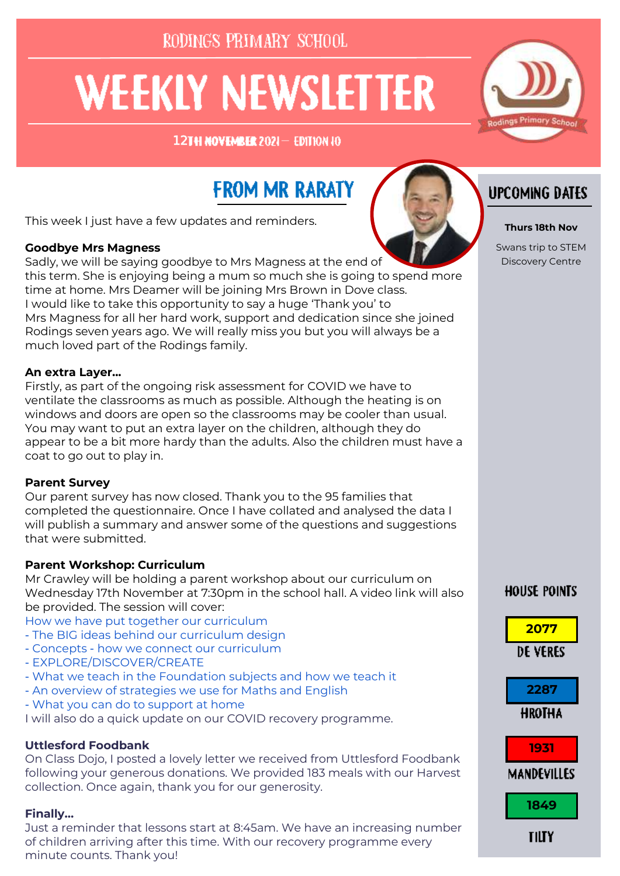RODINGS PRIMARY SCHOOL

# **WEEKLY NEWSLETTER**

12TH NOVENBER 2021-EDITION 10

## **FROM MR RARATY**

This week I just have a few updates and reminders.

#### **Goodbye Mrs Magness**

Sadly, we will be saying goodbye to Mrs Magness at the end of this term. She is enjoying being a mum so much she is going to spend more time at home. Mrs Deamer will be joining Mrs Brown in Dove class. I would like to take this opportunity to say a huge 'Thank you' to Mrs Magness for all her hard work, support and dedication since she joined Rodings seven years ago. We will really miss you but you will always be a much loved part of the Rodings family.

#### **An extra Layer...**

Firstly, as part of the ongoing risk assessment for COVID we have to ventilate the classrooms as much as possible. Although the heating is on windows and doors are open so the classrooms may be cooler than usual. You may want to put an extra layer on the children, although they do appear to be a bit more hardy than the adults. Also the children must have a coat to go out to play in.

#### **Parent Survey**

Our parent survey has now closed. Thank you to the 95 families that completed the questionnaire. Once I have collated and analysed the data I will publish a summary and answer some of the questions and suggestions that were submitted.

### **Parent Workshop: Curriculum**

Mr Crawley will be holding a parent workshop about our curriculum on Wednesday 17th November at 7:30pm in the school hall. A video link will also be provided. The session will cover:

How we have put together our curriculum

- The BIG ideas behind our curriculum design
- Concepts how we connect our curriculum
- EXPLORE/DISCOVER/CREATE
- What we teach in the Foundation subjects and how we teach it
- An overview of strategies we use for Maths and English
- What you can do to support at home

I will also do a quick update on our COVID recovery programme.

#### **Uttlesford Foodbank**

On Class Dojo, I posted a lovely letter we received from Uttlesford Foodbank following your generous donations. We provided 183 meals with our Harvest collection. Once again, thank you for our generosity.

#### **Finally…**

Just a reminder that lessons start at 8:45am. We have an increasing number of children arriving after this time. With our recovery programme every minute counts. Thank you!



#### **Thurs 18th Nov**

Swans trip to STEM Discovery Centre

### **HOUSE POINTS**



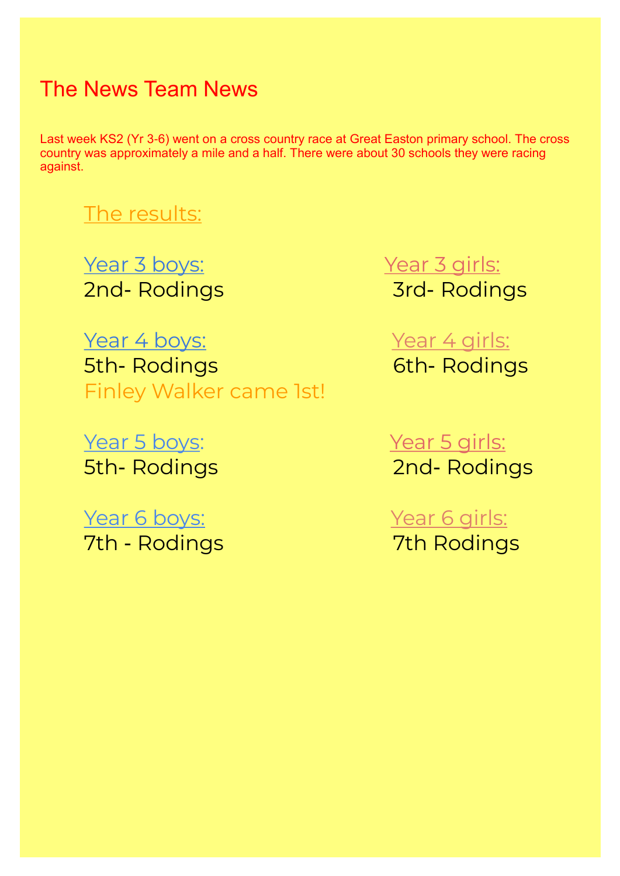## The News Team News

Last week KS2 (Yr 3-6) went on a cross country race at Great Easton primary school. The cross country was approximately a mile and a half. There were about 30 schools they were racing against.

## The results:

Year 3 boys: Year 3 girls: 2nd- Rodings 3rd- Rodings

5th- Rodings 6th- Rodings Finley Walker came 1st!

Year 5 boys: Year 5 girls:

Year 6 boys: Year 6 girls: 7th - Rodings 7th Rodings

Year 4 boys: Year 4 girls:

5th- Rodings 2nd- Rodings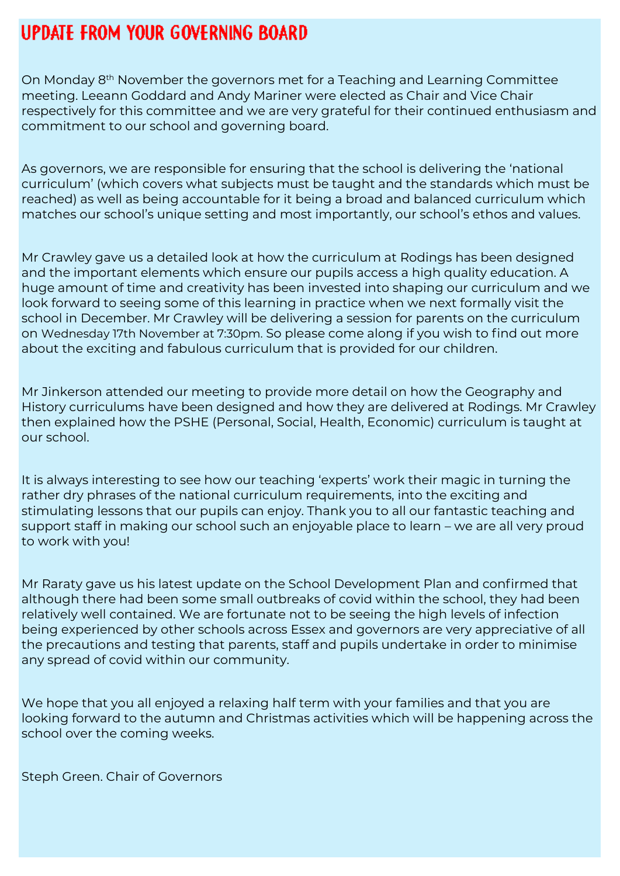## **UPDATE FROM YOUR GOVERNING BOARD**

On Monday 8th November the governors met for a Teaching and Learning Committee meeting. Leeann Goddard and Andy Mariner were elected as Chair and Vice Chair respectively for this committee and we are very grateful for their continued enthusiasm and commitment to our school and governing board.

As governors, we are responsible for ensuring that the school is delivering the 'national curriculum' (which covers what subjects must be taught and the standards which must be reached) as well as being accountable for it being a broad and balanced curriculum which matches our school's unique setting and most importantly, our school's ethos and values.

Mr Crawley gave us a detailed look at how the curriculum at Rodings has been designed and the important elements which ensure our pupils access a high quality education. A huge amount of time and creativity has been invested into shaping our curriculum and we look forward to seeing some of this learning in practice when we next formally visit the school in December. Mr Crawley will be delivering a session for parents on the curriculum on Wednesday 17th November at 7:30pm. So please come along if you wish to find out more about the exciting and fabulous curriculum that is provided for our children.

Mr Jinkerson attended our meeting to provide more detail on how the Geography and History curriculums have been designed and how they are delivered at Rodings. Mr Crawley then explained how the PSHE (Personal, Social, Health, Economic) curriculum is taught at our school.

It is always interesting to see how our teaching 'experts' work their magic in turning the rather dry phrases of the national curriculum requirements, into the exciting and stimulating lessons that our pupils can enjoy. Thank you to all our fantastic teaching and support staff in making our school such an enjoyable place to learn – we are all very proud to work with you!

Mr Raraty gave us his latest update on the School Development Plan and confirmed that although there had been some small outbreaks of covid within the school, they had been relatively well contained. We are fortunate not to be seeing the high levels of infection being experienced by other schools across Essex and governors are very appreciative of all the precautions and testing that parents, staff and pupils undertake in order to minimise any spread of covid within our community.

We hope that you all enjoyed a relaxing half term with your families and that you are looking forward to the autumn and Christmas activities which will be happening across the school over the coming weeks.

Steph Green. Chair of Governors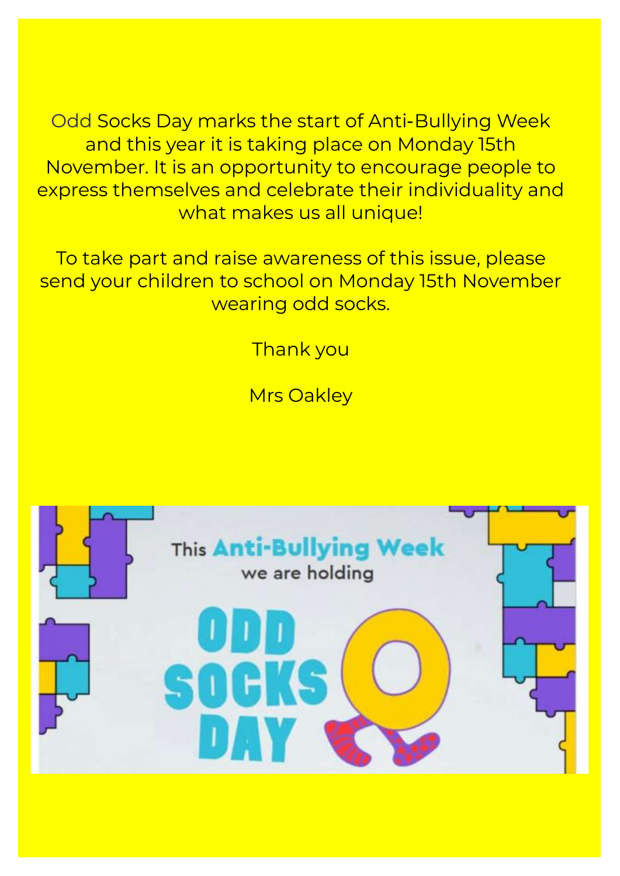Odd Socks Day marks the start of Anti-Bullying Week and this year it is taking place on Monday 15th November. It is an opportunity to encourage people to express themselves and celebrate their individuality and what makes us all unique!

To take part and raise awareness of this issue, please send your children to school on Monday 15th November wearing odd socks.

Thank you

Mrs Oakley